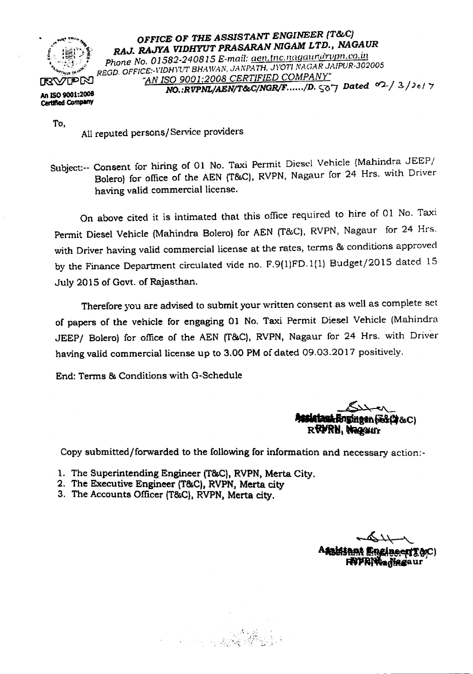

Certified Company

To,

## • <.. ~~~''', *OFFICE OF THE ASSISTANT ENGINEER (T&C)* / .:'C1h~t. IOJAJ.. *RAJYA VlDHYUT PRASARAN NIGAM LTD., NAGAUR* ; :~~./ , An \ - :~1'./ *Phone No. 01582-240815 E-mail:* illll..l.tnc.lwgaurl.a.nJpn.co.in ~~"";y,..",, *REGD,OFFICE:-vlDHrrJT BHAWMIj',,):\J\'PATH,.ivort NAGAR JAIPUR·302005* oo.WCPOO *"AN ISO 9001:2008 CERTIFIED COMPANY"* An ISOtQOl;2008 *NO.:RVPNL/AEN/T&C/NGR/'F .•••../D.* S-O 7 *Dated* d?-/ '.1/ ) <sup>e</sup> *<sup>I</sup> ..,*

All reputed persons/ Service providers

Subject:-- Consent for hiring of 01 No. Taxi Permit Diesel Vehicle (Mahindra JEEP/ Bolero) for office of the AEN {T&C). RVPN, Nagaur for 24 Hrs. with Driver having valid commercial license.

On above cited it is intimated that this office required to hire of 01 No. Taxi Permit Diesel Vehicle (Mahindra Bolero) for AEN (T&C), RVPN, Nagaur for 24 Hrs. with Driver having valid commercial license at the rates, terms & conditions approved by the Finance Department circulated vide no. F.9(1)FD.l(1) Budget/2015 dated 15 July 2015 of Govt. of Rajasthan.

Therefore you are advised to submit your written consent as well as complete set of papers of the vehicle for engaging 01 No. Taxi Permit Diesel Vehicle (Mahindra JEEP/ Bolero) for office of the AEN (T&C). RVPN, Nagaur for 24 Hrs. with Driver having valid commercial license up to 3.00 PM of dated 09.03.2017 positively.

End: Terms & Conditions with G-Schedule

*.s»:-:* ~ .. ~&C) r**w**m, n

Copy submitted/forwarded to the following for information and necessary action.-

. 1·

- 1. The Superintending Engineer (T&C), RVPN, Merta City,
- 2. The Executive Engineer (T&C), RVPN, Merta city
- 3. The Accounts Officer (T&C), RVPN, Merta city.

Aasissam Engineer(ToC) **RYPRIVe diagaur**